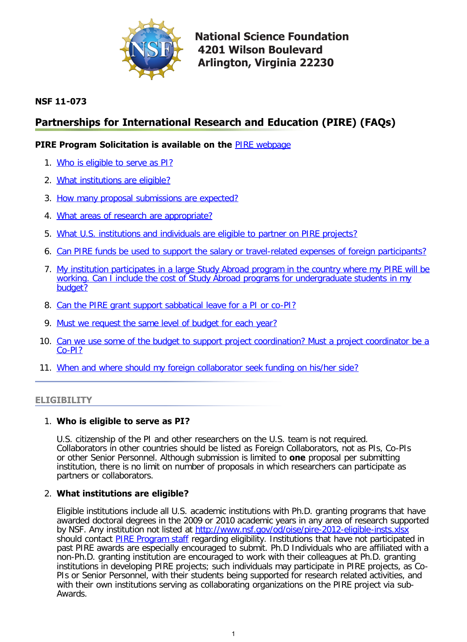

**National Science Foundation 4201 Wilson Boulevard Arlington, Virginia 22230** 

# **NSF 11-073**

# **Partnerships for International Research and Education (PIRE) (FAQs)**

# **PIRE Program Solicitation is available on the** [PIRE webpage](http://www.nsf.gov/funding/pgm_summ.jsp?pims_id=12819)

- 1. [Who is eligible to serve as PI?](#page-0-0)
- 2. [What institutions are eligible?](#page-0-1)
- 3. [How many proposal submissions are expected?](#page-1-0)
- 4. [What areas of research are appropriate?](#page-1-1)
- 5. [What U.S. institutions and individuals are eligible to partner on PIRE projects?](#page-1-2)
- 6. [Can PIRE funds be used to support the salary or travel-related expenses of foreign participants?](#page-1-3)
- 7. [My institution participates in a large Study Abroad program in the country where my PIRE will be](#page-2-0) [working. Can I include the cost of Study Abroad programs for undergraduate students in my](#page-2-0) [budget?](#page-2-0)
- 8. [Can the PIRE grant support sabbatical leave for a PI or co-PI?](#page-2-1)
- 9. [Must we request the same level of budget for each year?](#page-2-2)
- 10. [Can we use some of the budget to support project coordination? Must a project coordinator be a](#page-2-3) [Co-PI?](#page-2-3)
- 11. [When and where should my foreign collaborator seek funding on his/her side?](#page-2-4)

# <span id="page-0-0"></span>**ELIGIBILITY**

# 1. **Who is eligible to serve as PI?**

U.S. citizenship of the PI and other researchers on the U.S. team is not required. Collaborators in other countries should be listed as Foreign Collaborators, not as PIs, Co-PIs or other Senior Personnel. Although submission is limited to **one** proposal per submitting institution, there is no limit on number of proposals in which researchers can participate as partners or collaborators.

# <span id="page-0-1"></span>2. **What institutions are eligible?**

Eligible institutions include all U.S. academic institutions with Ph.D. granting programs that have awarded doctoral degrees in the 2009 or 2010 academic years in any area of research supported by NSF. Any institution not listed at <http://www.nsf.gov/od/oise/pire-2012-eligible-insts.xlsx> should contact **PIRE Program staff regarding eligibility**. Institutions that have not participated in past PIRE awards are especially encouraged to submit. Ph.D Individuals who are affiliated with a non-Ph.D. granting institution are encouraged to work with their colleagues at Ph.D. granting institutions in developing PIRE projects; such individuals may participate in PIRE projects, as Co-PIs or Senior Personnel, with their students being supported for research related activities, and with their own institutions serving as collaborating organizations on the PIRE project via sub-Awards.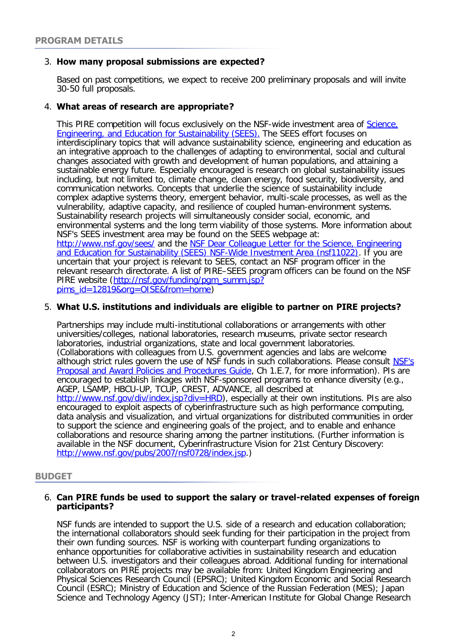# <span id="page-1-0"></span>3. **How many proposal submissions are expected?**

Based on past competitions, we expect to receive 200 preliminary proposals and will invite 30-50 full proposals.

# <span id="page-1-1"></span>4. **What areas of research are appropriate?**

This PIRE competition will focus exclusively on the NSF-wide investment area of Science. [Engineering, and Education for Sustainability \(SEES\).](http://www.nsf.gov/geo/sees/) The SEES effort focuses on interdisciplinary topics that will advance sustainability science, engineering and education as an integrative approach to the challenges of adapting to environmental, social and cultural changes associated with growth and development of human populations, and attaining a sustainable energy future. Especially encouraged is research on global sustainability issues including, but not limited to, climate change, clean energy, food security, biodiversity, and communication networks. Concepts that underlie the science of sustainability include complex adaptive systems theory, emergent behavior, multi-scale processes, as well as the vulnerability, adaptive capacity, and resilience of coupled human-environment systems. Sustainability research projects will simultaneously consider social, economic, and environmental systems and the long term viability of those systems. More information about NSF's SEES investment area may be found on the SEES webpage at: <http://www.nsf.gov/sees/>and the [NSF Dear Colleague Letter for the Science, Engineering](http://www.nsf.gov/pubs/2011/nsf11022/nsf11022.jsp?WT.mc_id=USNSF_25&WT.mc_ev=click) [and Education for Sustainability \(SEES\) NSF-Wide Investment Area \(nsf11022\)](http://www.nsf.gov/pubs/2011/nsf11022/nsf11022.jsp?WT.mc_id=USNSF_25&WT.mc_ev=click). If you are uncertain that your project is relevant to SEES, contact an NSF program officer in the relevant research directorate. A list of PIRE–SEES program officers can be found on the NSF PIRE website ([http://nsf.gov/funding/pgm\\_summ.jsp?](http://nsf.gov/funding/pgm_summ.jsp?pims_id=12819&org=OISE&from=home) [pims\\_id=12819&org=OISE&from=home](http://nsf.gov/funding/pgm_summ.jsp?pims_id=12819&org=OISE&from=home))

# <span id="page-1-2"></span>5. **What U.S. institutions and individuals are eligible to partner on PIRE projects?**

Partnerships may include multi-institutional collaborations or arrangements with other universities/colleges, national laboratories, research museums, private sector research laboratories, industrial organizations, state and local government laboratories. (Collaborations with colleagues from U.S. government agencies and labs are welcome although strict rules govern the use of NSF funds in such collaborations. Please consult [NSF's](http://www.nsf.gov/pubs/policydocs/pappguide/nsf09_1/nsf091.pdf) [Proposal and Award Policies and Procedures Guide,](http://www.nsf.gov/pubs/policydocs/pappguide/nsf09_1/nsf091.pdf) Ch 1.E.7, for more information). PIs are encouraged to establish linkages with NSF-sponsored programs to enhance diversity (e.g., AGEP, LSAMP, HBCU-UP, TCUP, CREST, ADVANCE, all described at <http://www.nsf.gov/div/index.jsp?div=HRD>), especially at their own institutions. PIs are also encouraged to exploit aspects of cyberinfrastructure such as high performance computing, data analysis and visualization, and virtual organizations for distributed communities in order to support the science and engineering goals of the project, and to enable and enhance collaborations and resource sharing among the partner institutions. (Further information is available in the NSF document, Cyberinfrastructure Vision for 21st Century Discovery: <http://www.nsf.gov/pubs/2007/nsf0728/index.jsp>.)

# <span id="page-1-3"></span>**BUDGET**

#### 6. **Can PIRE funds be used to support the salary or travel-related expenses of foreign participants?**

NSF funds are intended to support the U.S. side of a research and education collaboration; the international collaborators should seek funding for their participation in the project from their own funding sources. NSF is working with counterpart funding organizations to enhance opportunities for collaborative activities in sustainability research and education between U.S. investigators and their colleagues abroad. Additional funding for international collaborators on PIRE projects may be available from: United Kingdom Engineering and Physical Sciences Research Council (EPSRC); United Kingdom Economic and Social Research Council (ESRC); Ministry of Education and Science of the Russian Federation (MES); Japan Science and Technology Agency (JST); Inter-American Institute for Global Change Research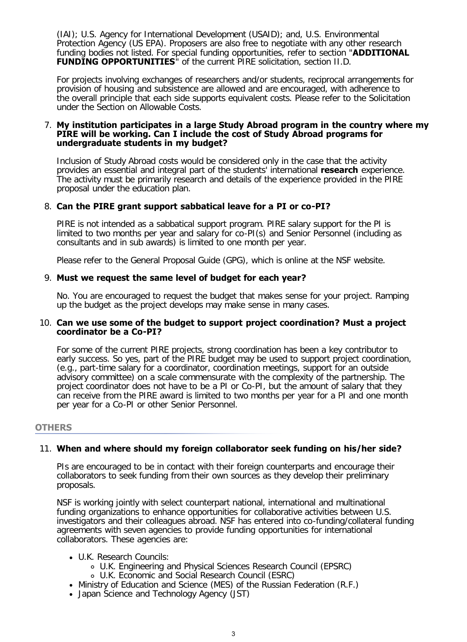(IAI); U.S. Agency for International Development (USAID); and, U.S. Environmental Protection Agency (US EPA). Proposers are also free to negotiate with any other research funding bodies not listed. For special funding opportunities, refer to section "**ADDITIONAL FUNDING OPPORTUNITIES**" of the current PIRE solicitation, section II.D.

For projects involving exchanges of researchers and/or students, reciprocal arrangements for provision of housing and subsistence are allowed and are encouraged, with adherence to the overall principle that each side supports equivalent costs. Please refer to the Solicitation under the Section on Allowable Costs.

#### <span id="page-2-0"></span>7. **My institution participates in a large Study Abroad program in the country where my PIRE will be working. Can I include the cost of Study Abroad programs for undergraduate students in my budget?**

Inclusion of Study Abroad costs would be considered only in the case that the activity provides an essential and integral part of the students' international **research** experience. The activity must be primarily research and details of the experience provided in the PIRE proposal under the education plan.

# <span id="page-2-1"></span>8. **Can the PIRE grant support sabbatical leave for a PI or co-PI?**

PIRE is not intended as a sabbatical support program. PIRE salary support for the PI is limited to two months per year and salary for co-PI(s) and Senior Personnel (including as consultants and in sub awards) is limited to one month per year.

Please refer to the General Proposal Guide (GPG), which is online at the NSF website.

# <span id="page-2-2"></span>9. **Must we request the same level of budget for each year?**

No. You are encouraged to request the budget that makes sense for your project. Ramping up the budget as the project develops may make sense in many cases.

#### <span id="page-2-3"></span>10. **Can we use some of the budget to support project coordination? Must a project coordinator be a Co-PI?**

For some of the current PIRE projects, strong coordination has been a key contributor to early success. So yes, part of the PIRE budget may be used to support project coordination, (e.g., part-time salary for a coordinator, coordination meetings, support for an outside advisory committee) on a scale commensurate with the complexity of the partnership. The project coordinator does not have to be a PI or Co-PI, but the amount of salary that they can receive from the PIRE award is limited to two months per year for a PI and one month per year for a Co-PI or other Senior Personnel.

# **OTHERS**

# <span id="page-2-4"></span>11. **When and where should my foreign collaborator seek funding on his/her side?**

PIs are encouraged to be in contact with their foreign counterparts and encourage their collaborators to seek funding from their own sources as they develop their preliminary proposals.

NSF is working jointly with select counterpart national, international and multinational funding organizations to enhance opportunities for collaborative activities between U.S. investigators and their colleagues abroad. NSF has entered into co-funding/collateral funding agreements with seven agencies to provide funding opportunities for international collaborators. These agencies are:

# U.K. Research Councils:

- U.K. Engineering and Physical Sciences Research Council (EPSRC)
- U.K. Economic and Social Research Council (ESRC)
- Ministry of Education and Science (MES) of the Russian Federation (R.F.)
- Japan Science and Technology Agency (JST)